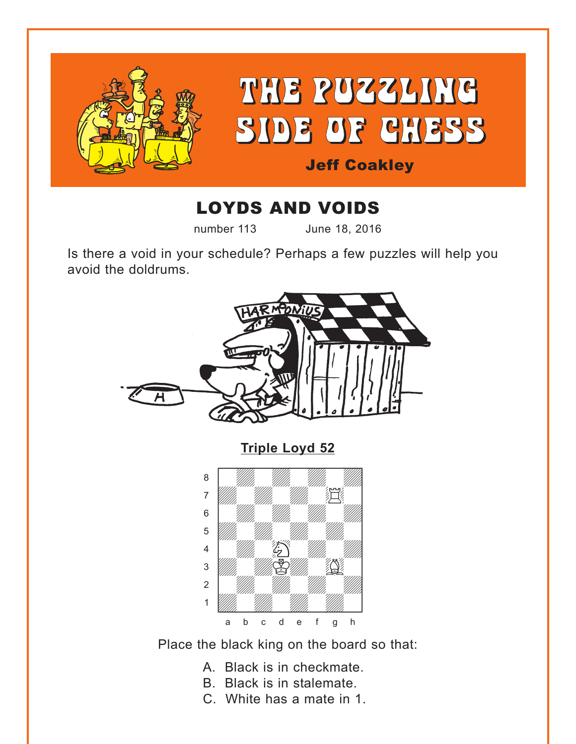<span id="page-0-0"></span>

# LOYDS AND VOIDS

number 113 June 18, 2016

Is there a void in your schedule? Perhaps a few puzzles will help you avoid the doldrums.



Place the black king on the board so that:

- A. Black is in checkmate.
- B. Black is in stalemate.
- C. White has a mate in 1.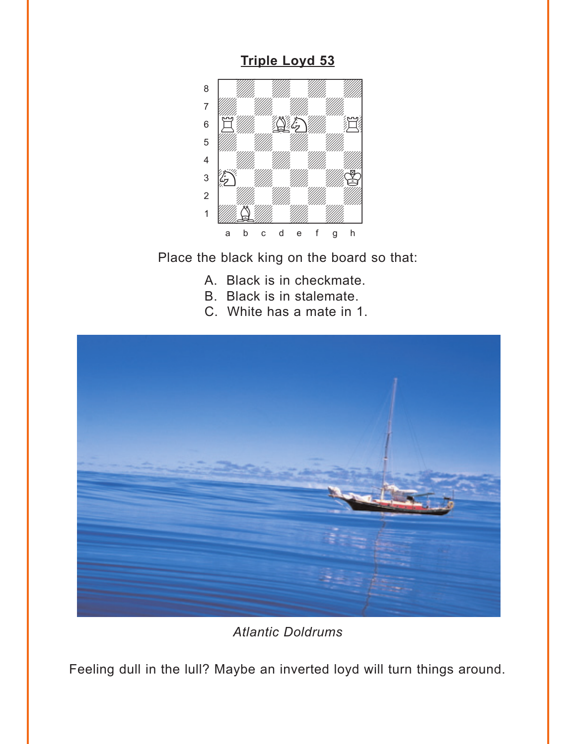### **Triple Loyd 53**

<span id="page-1-0"></span>

Place the black king on the board so that:

- A. Black is in checkmate.
- B. Black is in stalemate.
- C. White has a mate in 1.



**Atlantic Doldrums** 

Feeling dull in the Iull? Maybe an inverted loyd will turn things around.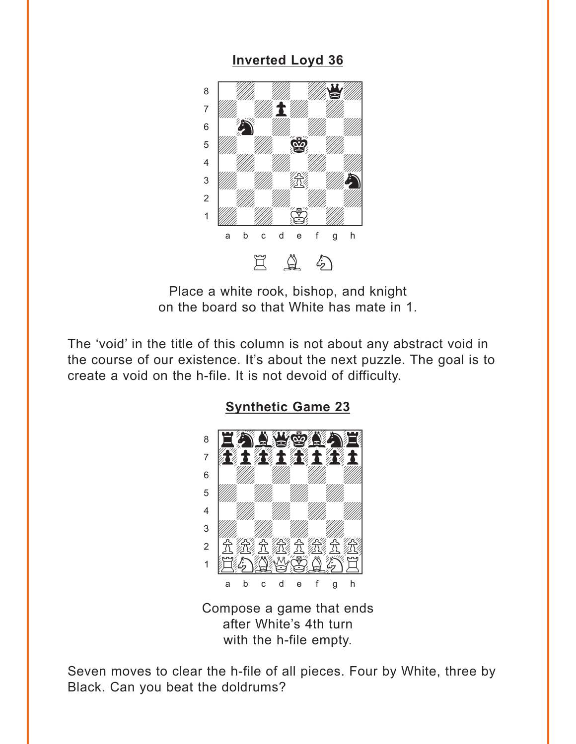#### **Inverted Loyd 36**

<span id="page-2-0"></span>

Place a white rook, bishop, and knight on the board so that White has mate in 1.

The 'void' in the title of this column is not about any abstract void in the course of our existence. It's about the next puzzle. The goal is to create a void on the h-file. It is not devoid of difficulty.



**Synthetic Game 23** 

Compose a game that ends after White's 4th turn with the h-file empty.

Seven moves to clear the h-file of all pieces. Four by White, three by Black. Can you beat the doldrums?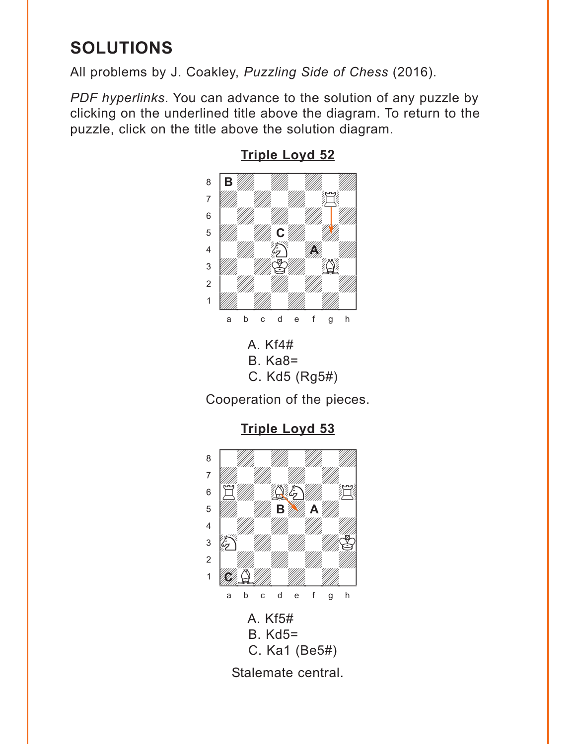# <span id="page-3-0"></span>**SOLUTIONS**

All problems by J. Coakley, *Puzzling Side of Chess* (2016).

*PDF hyperlinks*. You can advance to the solution of any puzzle by clicking on the underlined title above the diagram. To return to the puzzle, click on the title above the solution diagram.



### **[Triple Loyd 52](#page-0-0)**

A. Kf4# B. Ka8= C. Kd5 (Rg5#)

Cooperation of the pieces.

**[Triple Loyd 53](#page-1-0)**